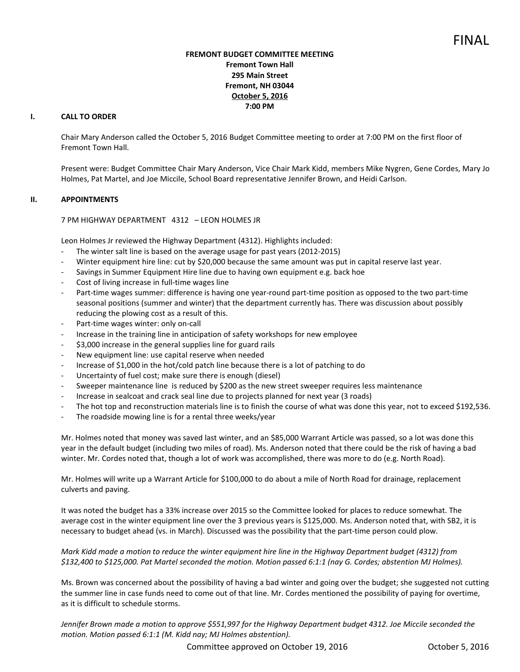# **FREMONT BUDGET COMMITTEE MEETING Fremont Town Hall 295 Main Street Fremont, NH 03044 October 5, 2016 7:00 PM**

# **I. CALL TO ORDER**

Chair Mary Anderson called the October 5, 2016 Budget Committee meeting to order at 7:00 PM on the first floor of Fremont Town Hall.

Present were: Budget Committee Chair Mary Anderson, Vice Chair Mark Kidd, members Mike Nygren, Gene Cordes, Mary Jo Holmes, Pat Martel, and Joe Miccile, School Board representative Jennifer Brown, and Heidi Carlson.

# **II. APPOINTMENTS**

7 PM HIGHWAY DEPARTMENT 4312 – LEON HOLMES JR

Leon Holmes Jr reviewed the Highway Department (4312). Highlights included:

- The winter salt line is based on the average usage for past years (2012-2015)
- Winter equipment hire line: cut by \$20,000 because the same amount was put in capital reserve last year.
- Savings in Summer Equipment Hire line due to having own equipment e.g. back hoe
- Cost of living increase in full-time wages line
- Part-time wages summer: difference is having one year-round part-time position as opposed to the two part-time seasonal positions (summer and winter) that the department currently has. There was discussion about possibly reducing the plowing cost as a result of this.
- Part-time wages winter: only on-call
- Increase in the training line in anticipation of safety workshops for new employee
- \$3,000 increase in the general supplies line for guard rails
- New equipment line: use capital reserve when needed
- Increase of \$1,000 in the hot/cold patch line because there is a lot of patching to do
- Uncertainty of fuel cost; make sure there is enough (diesel)
- Sweeper maintenance line is reduced by \$200 as the new street sweeper requires less maintenance
- Increase in sealcoat and crack seal line due to projects planned for next year (3 roads)
- The hot top and reconstruction materials line is to finish the course of what was done this year, not to exceed \$192,536.
- The roadside mowing line is for a rental three weeks/year

Mr. Holmes noted that money was saved last winter, and an \$85,000 Warrant Article was passed, so a lot was done this year in the default budget (including two miles of road). Ms. Anderson noted that there could be the risk of having a bad winter. Mr. Cordes noted that, though a lot of work was accomplished, there was more to do (e.g. North Road).

Mr. Holmes will write up a Warrant Article for \$100,000 to do about a mile of North Road for drainage, replacement culverts and paving.

It was noted the budget has a 33% increase over 2015 so the Committee looked for places to reduce somewhat. The average cost in the winter equipment line over the 3 previous years is \$125,000. Ms. Anderson noted that, with SB2, it is necessary to budget ahead (vs. in March). Discussed was the possibility that the part-time person could plow.

*Mark Kidd made a motion to reduce the winter equipment hire line in the Highway Department budget (4312) from \$132,400 to \$125,000. Pat Martel seconded the motion. Motion passed 6:1:1 (nay G. Cordes; abstention MJ Holmes).* 

Ms. Brown was concerned about the possibility of having a bad winter and going over the budget; she suggested not cutting the summer line in case funds need to come out of that line. Mr. Cordes mentioned the possibility of paying for overtime, as it is difficult to schedule storms.

*Jennifer Brown made a motion to approve \$551,997 for the Highway Department budget 4312. Joe Miccile seconded the motion. Motion passed 6:1:1 (M. Kidd nay; MJ Holmes abstention).* 

Committee approved on October 19, 2016 Committee approved on October 19, 2016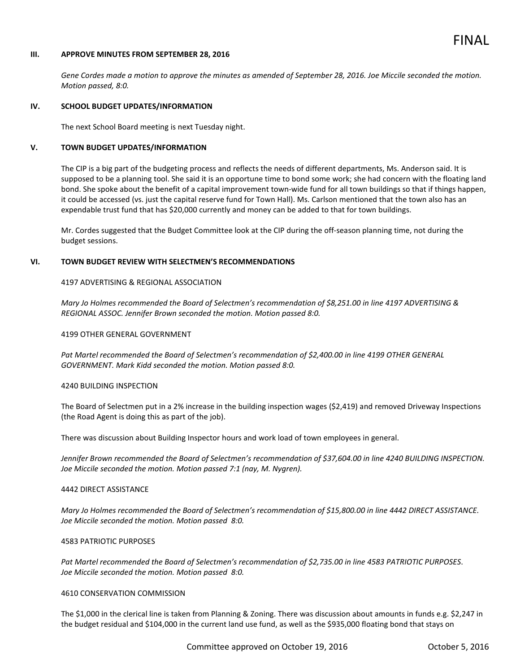# FINAL

## **III. APPROVE MINUTES FROM SEPTEMBER 28, 2016**

*Gene Cordes made a motion to approve the minutes as amended of September 28, 2016. Joe Miccile seconded the motion. Motion passed, 8:0.* 

#### **IV. SCHOOL BUDGET UPDATES/INFORMATION**

The next School Board meeting is next Tuesday night.

# **V. TOWN BUDGET UPDATES/INFORMATION**

The CIP is a big part of the budgeting process and reflects the needs of different departments, Ms. Anderson said. It is supposed to be a planning tool. She said it is an opportune time to bond some work; she had concern with the floating land bond. She spoke about the benefit of a capital improvement town-wide fund for all town buildings so that if things happen, it could be accessed (vs. just the capital reserve fund for Town Hall). Ms. Carlson mentioned that the town also has an expendable trust fund that has \$20,000 currently and money can be added to that for town buildings.

Mr. Cordes suggested that the Budget Committee look at the CIP during the off-season planning time, not during the budget sessions.

## **VI. TOWN BUDGET REVIEW WITH SELECTMEN'S RECOMMENDATIONS**

## 4197 ADVERTISING & REGIONAL ASSOCIATION

*Mary Jo Holmes recommended the Board of Selectmen's recommendation of \$8,251.00 in line 4197 ADVERTISING & REGIONAL ASSOC. Jennifer Brown seconded the motion. Motion passed 8:0.* 

#### 4199 OTHER GENERAL GOVERNMENT

*Pat Martel recommended the Board of Selectmen's recommendation of \$2,400.00 in line 4199 OTHER GENERAL GOVERNMENT. Mark Kidd seconded the motion. Motion passed 8:0.* 

#### 4240 BUILDING INSPECTION

The Board of Selectmen put in a 2% increase in the building inspection wages (\$2,419) and removed Driveway Inspections (the Road Agent is doing this as part of the job).

There was discussion about Building Inspector hours and work load of town employees in general.

*Jennifer Brown recommended the Board of Selectmen's recommendation of \$37,604.00 in line 4240 BUILDING INSPECTION. Joe Miccile seconded the motion. Motion passed 7:1 (nay, M. Nygren).* 

#### 4442 DIRECT ASSISTANCE

*Mary Jo Holmes recommended the Board of Selectmen's recommendation of \$15,800.00 in line 4442 DIRECT ASSISTANCE. Joe Miccile seconded the motion. Motion passed 8:0.* 

#### 4583 PATRIOTIC PURPOSES

*Pat Martel recommended the Board of Selectmen's recommendation of \$2,735.00 in line 4583 PATRIOTIC PURPOSES*. *Joe Miccile seconded the motion. Motion passed 8:0.* 

## 4610 CONSERVATION COMMISSION

The \$1,000 in the clerical line is taken from Planning & Zoning. There was discussion about amounts in funds e.g. \$2,247 in the budget residual and \$104,000 in the current land use fund, as well as the \$935,000 floating bond that stays on